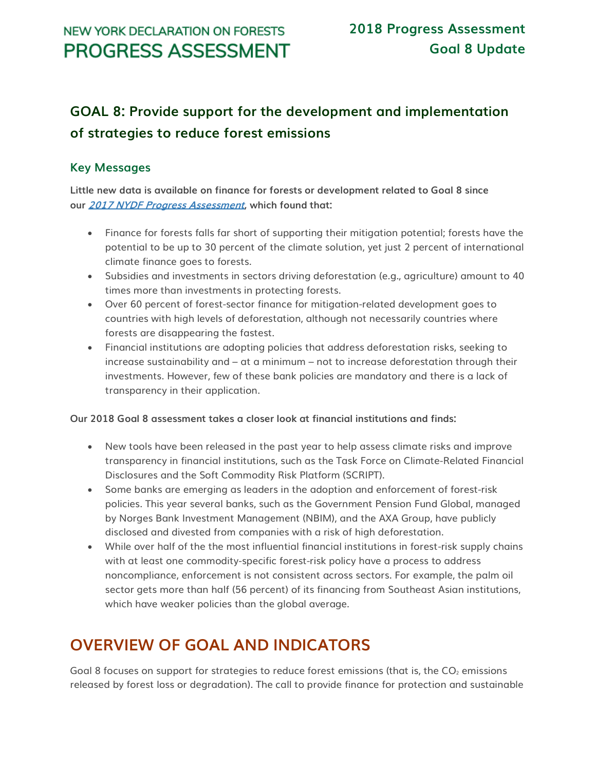# **GOAL 8: Provide support for the development and implementation of strategies to reduce forest emissions**

## **Key Messages**

**Little new data is available on finance for forests or development related to Goal 8 since our [2017 NYDF Progress Assessment](http://forestdeclaration.org/wp-content/uploads/2017/10/2017-NYDF-Goals-8-and-9-Assessment-Report.pdf), which found that:**

- Finance for forests falls far short of supporting their mitigation potential; forests have the potential to be up to 30 percent of the climate solution, yet just 2 percent of international climate finance goes to forests.
- Subsidies and investments in sectors driving deforestation (e.g., agriculture) amount to 40 times more than investments in protecting forests.
- Over 60 percent of forest-sector finance for mitigation-related development goes to countries with high levels of deforestation, although not necessarily countries where forests are disappearing the fastest.
- Financial institutions are adopting policies that address deforestation risks, seeking to increase sustainability and – at a minimum – not to increase deforestation through their investments. However, few of these bank policies are mandatory and there is a lack of transparency in their application.

### **Our 2018 Goal 8 assessment takes a closer look at financial institutions and finds:**

- New tools have been released in the past year to help assess climate risks and improve transparency in financial institutions, such as the Task Force on Climate-Related Financial Disclosures and the Soft Commodity Risk Platform (SCRIPT).
- Some banks are emerging as leaders in the adoption and enforcement of forest-risk policies. This year several banks, such as the Government Pension Fund Global, managed by Norges Bank Investment Management (NBIM), and the AXA Group, have publicly disclosed and divested from companies with a risk of high deforestation.
- While over half of the the most influential financial institutions in forest-risk supply chains with at least one commodity-specific forest-risk policy have a process to address noncompliance, enforcement is not consistent across sectors. For example, the palm oil sector gets more than half (56 percent) of its financing from Southeast Asian institutions, which have weaker policies than the global average.

# **OVERVIEW OF GOAL AND INDICATORS**

Goal 8 focuses on support for strategies to reduce forest emissions (that is, the  $CO<sub>2</sub>$  emissions released by forest loss or degradation). The call to provide finance for protection and sustainable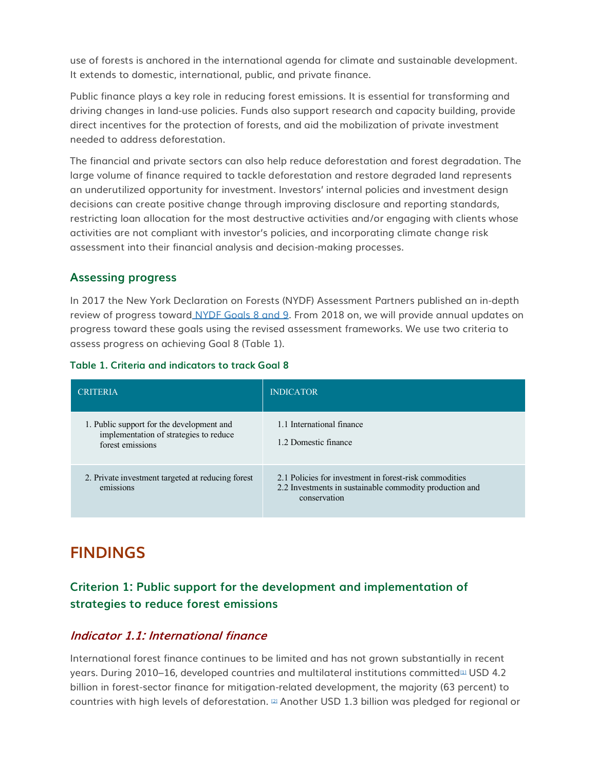use of forests is anchored in the international agenda for climate and sustainable development. It extends to domestic, international, public, and private finance.

Public finance plays a key role in reducing forest emissions. It is essential for transforming and driving changes in land-use policies. Funds also support research and capacity building, provide direct incentives for the protection of forests, and aid the mobilization of private investment needed to address deforestation.

The financial and private sectors can also help reduce deforestation and forest degradation. The large volume of finance required to tackle deforestation and restore degraded land represents an underutilized opportunity for investment. Investors' internal policies and investment design decisions can create positive change through improving disclosure and reporting standards, restricting loan allocation for the most destructive activities and/or engaging with clients whose activities are not compliant with investor's policies, and incorporating climate change risk assessment into their financial analysis and decision-making processes.

### **Assessing progress**

In 2017 the New York Declaration on Forests (NYDF) Assessment Partners published an in-depth review of progress toward [NYDF Goals 8 and 9.](http://forestdeclaration.org/downloads/) From 2018 on, we will provide annual updates on progress toward these goals using the revised assessment frameworks. We use two criteria to assess progress on achieving Goal 8 (Table 1).

#### **Table 1. Criteria and indicators to track Goal 8**

| <b>CRITERIA</b>                                                                                         | <b>INDICATOR</b>                                                                                                                  |
|---------------------------------------------------------------------------------------------------------|-----------------------------------------------------------------------------------------------------------------------------------|
| 1. Public support for the development and<br>implementation of strategies to reduce<br>forest emissions | 1.1 International finance<br>1.2 Domestic finance                                                                                 |
| 2. Private investment targeted at reducing forest<br>emissions                                          | 2.1 Policies for investment in forest-risk commodities<br>2.2 Investments in sustainable commodity production and<br>conservation |

# **FINDINGS**

# **Criterion 1: Public support for the development and implementation of strategies to reduce forest emissions**

## **Indicator 1.1: International finance**

International forest finance continues to be limited and has not grown substantially in recent years. During 2010–16, developed countries and multilateral institutions committed<sup>[\[1\]](http://forestdeclaration.org/goal/goal-8/#_edn1)</sup> USD 4.2 billion in forest-sector finance for mitigation-related development, the majority (63 percent) to countries with high levels of deforestation. [\[2\]](http://forestdeclaration.org/goal/goal-8/#_edn2) Another USD 1.3 billion was pledged for regional or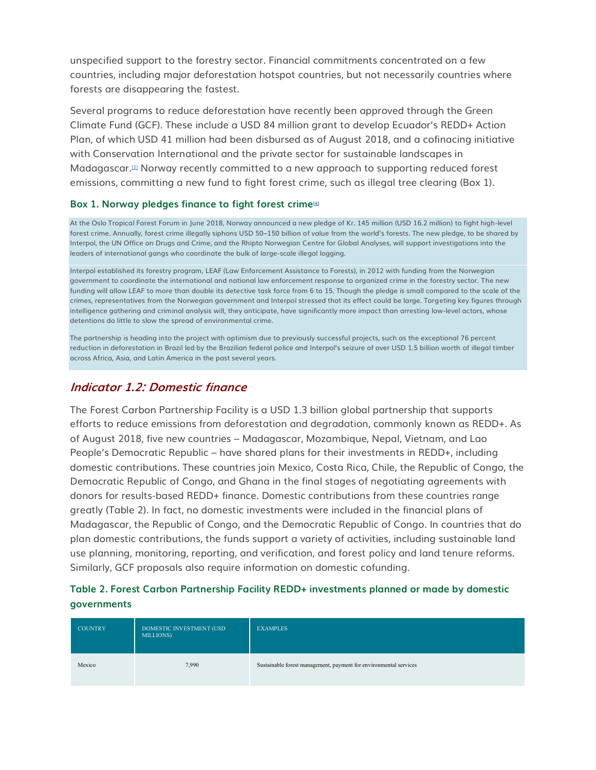unspecified support to the forestry sector. Financial commitments concentrated on a few countries, including major deforestation hotspot countries, but not necessarily countries where forests are disappearing the fastest.

Several programs to reduce deforestation have recently been approved through the Green Climate Fund (GCF). These include a USD 84 million grant to develop Ecuador's REDD+ Action Plan, of which USD 41 million had been disbursed as of August 2018, and a cofinacing initiative with Conservation International and the private sector for sustainable landscapes in Madagascar.[\[3\]](http://forestdeclaration.org/goal/goal-8/#_edn3) Norway recently committed to a new approach to supporting reduced forest emissions, committing a new fund to fight forest crime, such as illegal tree clearing (Box 1).

#### **Box 1. Norway pledges finance to fight forest crime[\[4\]](http://forestdeclaration.org/goal/goal-8/#_edn4)**

At the Oslo Tropical Forest Forum in June 2018, Norway announced a new pledge of Kr. 145 million (USD 16.2 million) to fight high-level forest crime. Annually, forest crime illegally siphons USD 50–150 billion of value from the world's forests. The new pledge, to be shared by Interpol, the UN Office on Drugs and Crime, and the Rhipto Norwegian Centre for Global Analyses, will support investigations into the leaders of international gangs who coordinate the bulk of large-scale illegal logging.

Interpol established its forestry program, LEAF (Law Enforcement Assistance to Forests), in 2012 with funding from the Norwegian government to coordinate the international and national law enforcement response to organized crime in the forestry sector. The new funding will allow LEAF to more than double its detective task force from 6 to 15. Though the pledge is small compared to the scale of the crimes, representatives from the Norwegian government and Interpol stressed that its effect could be large. Targeting key figures through intelligence gathering and criminal analysis will, they anticipate, have significantly more impact than arresting low-level actors, whose detentions do little to slow the spread of environmental crime.

The partnership is heading into the project with optimism due to previously successful projects, such as the exceptional 76 percent reduction in deforestation in Brazil led by the Brazilian federal police and Interpol's seizure of over USD 1.5 billion worth of illegal timber across Africa, Asia, and Latin America in the past several years.

## **Indicator 1.2: Domestic finance**

The Forest Carbon Partnership Facility is a USD 1.3 billion global partnership that supports efforts to reduce emissions from deforestation and degradation, commonly known as REDD+. As of August 2018, five new countries – Madagascar, Mozambique, Nepal, Vietnam, and Lao People's Democratic Republic – have shared plans for their investments in REDD+, including domestic contributions. These countries join Mexico, Costa Rica, Chile, the Republic of Congo, the Democratic Republic of Congo, and Ghana in the final stages of negotiating agreements with donors for results-based REDD+ finance. Domestic contributions from these countries range greatly (Table 2). In fact, no domestic investments were included in the financial plans of Madagascar, the Republic of Congo, and the Democratic Republic of Congo. In countries that do plan domestic contributions, the funds support a variety of activities, including sustainable land use planning, monitoring, reporting, and verification, and forest policy and land tenure reforms. Similarly, GCF proposals also require information on domestic cofunding.

### **Table 2. Forest Carbon Partnership Facility REDD+ investments planned or made by domestic governments**

| <b>COUNTRY</b> | DOMESTIC INVESTMENT (USD<br>MILLIONS) | <b>EXAMPLES</b>                                                   |
|----------------|---------------------------------------|-------------------------------------------------------------------|
| Mexico         | 7,990                                 | Sustainable forest management, payment for environmental services |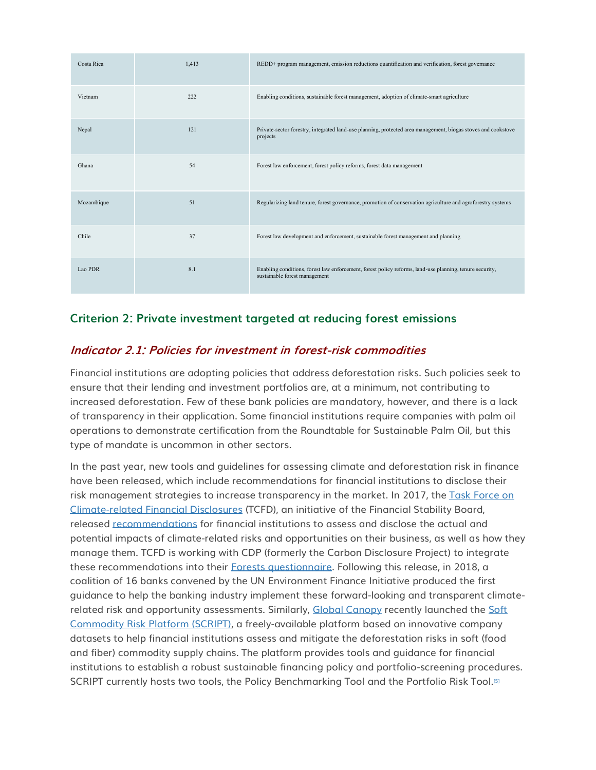| Costa Rica | 1,413 | REDD+ program management, emission reductions quantification and verification, forest governance                                         |
|------------|-------|------------------------------------------------------------------------------------------------------------------------------------------|
| Vietnam    | 222   | Enabling conditions, sustainable forest management, adoption of climate-smart agriculture                                                |
| Nepal      | 121   | Private-sector forestry, integrated land-use planning, protected area management, biogas stoves and cookstove<br>projects                |
| Ghana      | 54    | Forest law enforcement, forest policy reforms, forest data management                                                                    |
| Mozambique | 51    | Regularizing land tenure, forest governance, promotion of conservation agriculture and agroforestry systems                              |
| Chile      | 37    | Forest law development and enforcement, sustainable forest management and planning                                                       |
| Lao PDR    | 8.1   | Enabling conditions, forest law enforcement, forest policy reforms, land-use planning, tenure security,<br>sustainable forest management |

## **Criterion 2: Private investment targeted at reducing forest emissions**

## **Indicator 2.1: Policies for investment in forest-risk commodities**

Financial institutions are adopting policies that address deforestation risks. Such policies seek to ensure that their lending and investment portfolios are, at a minimum, not contributing to increased deforestation. Few of these bank policies are mandatory, however, and there is a lack of transparency in their application. Some financial institutions require companies with palm oil operations to demonstrate certification from the Roundtable for Sustainable Palm Oil, but this type of mandate is uncommon in other sectors.

In the past year, new tools and guidelines for assessing climate and deforestation risk in finance have been released, which include recommendations for financial institutions to disclose their risk management strategies to increase transparency in the market. In 2017, the Task Force on [Climate-related Financial Disclosures](https://www.fsb-tcfd.org/) (TCFD), an initiative of the Financial Stability Board, released [recommendations](https://www.fsb-tcfd.org/wp-content/uploads/2017/06/FINAL-TCFD-Report-062817.pdf) for financial institutions to assess and disclose the actual and potential impacts of climate-related risks and opportunities on their business, as well as how they manage them. TCFD is working with CDP (formerly the Carbon Disclosure Project) to integrate these recommendations into their [Forests questionnaire.](https://www.cdp.net/en/forests) Following this release, in 2018, a coalition of 16 banks convened by the UN Environment Finance Initiative produced the first guidance to help the banking industry implement these forward-looking and transparent climate-related risk and opportunity assessments. Similarly, [Global Canopy](http://globalcanopy.org/what-we-do/finance-sector/script) recently launched the Soft [Commodity Risk Platform \(SCRIPT\),](https://www.script.finance/tool/login) a freely-available platform based on innovative company datasets to help financial institutions assess and mitigate the deforestation risks in soft (food and fiber) commodity supply chains. The platform provides tools and guidance for financial institutions to establish a robust sustainable financing policy and portfolio-screening procedures. SCRIPT currently hosts two tools, the Policy Benchmarking Tool and the Portfolio Risk Tool.<sup>[\[5\]](http://forestdeclaration.org/goal/goal-8/#_edn5)</sup>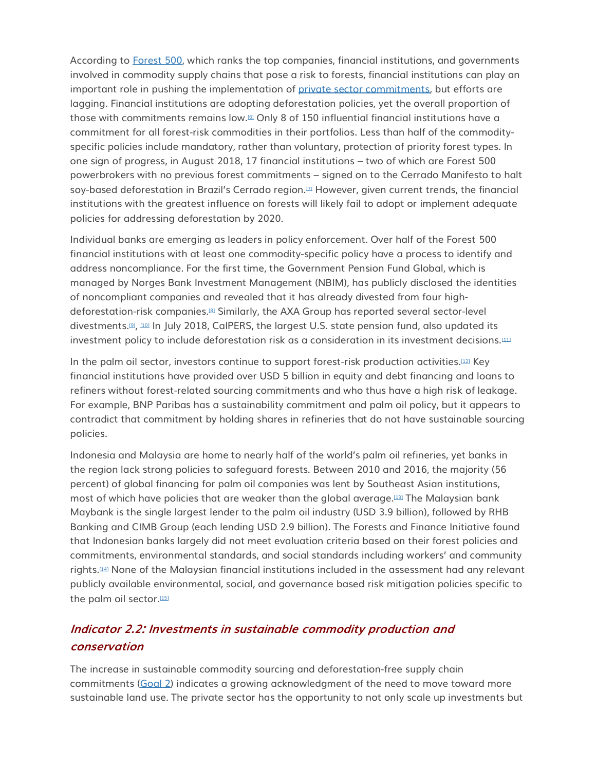According to [Forest 500,](https://forest500.org/) which ranks the top companies, financial institutions, and governments involved in commodity supply chains that pose a risk to forests, financial institutions can play an important role in pushing the implementation of [private sector commitments,](http://forestdeclaration.org/goal/goal-2/) but efforts are lagging. Financial institutions are adopting deforestation policies, yet the overall proportion of those with commitments remains low.<sup>[\[6\]](http://forestdeclaration.org/goal/goal-8/#_edn6)</sup> Only 8 of 150 influential financial institutions have a commitment for all forest-risk commodities in their portfolios. Less than half of the commodityspecific policies include mandatory, rather than voluntary, protection of priority forest types. In one sign of progress, in August 2018, 17 financial institutions – two of which are Forest 500 powerbrokers with no previous forest commitments – signed on to the Cerrado Manifesto to halt soy-based deforestation in Brazil's Cerrado region.<sup>[\[7\]](http://forestdeclaration.org/goal/goal-8/#_edn7)</sup> However, given current trends, the financial institutions with the greatest influence on forests will likely fail to adopt or implement adequate policies for addressing deforestation by 2020.

Individual banks are emerging as leaders in policy enforcement. Over half of the Forest 500 financial institutions with at least one commodity-specific policy have a process to identify and address noncompliance. For the first time, the Government Pension Fund Global, which is managed by Norges Bank Investment Management (NBIM), has publicly disclosed the identities of noncompliant companies and revealed that it has already divested from four highdeforestation-risk companies.[\[8\]](http://forestdeclaration.org/goal/goal-8/#_edn8) Similarly, the AXA Group has reported several sector-level divestments.[\[9\]](http://forestdeclaration.org/goal/goal-8/#_edn9), [\[10\]](http://forestdeclaration.org/goal/goal-8/#_edn10) In July 2018, CalPERS, the largest U.S. state pension fund, also updated its investment policy to include deforestation risk as a consideration in its investment decisions.<sup>[\[11\]](http://forestdeclaration.org/goal/goal-8/#_edn11)</sup>

In the palm oil sector, investors continue to support forest-risk production activities.[\[12\]](http://forestdeclaration.org/goal/goal-8/#_edn12) Key financial institutions have provided over USD 5 billion in equity and debt financing and loans to refiners without forest-related sourcing commitments and who thus have a high risk of leakage. For example, BNP Paribas has a sustainability commitment and palm oil policy, but it appears to contradict that commitment by holding shares in refineries that do not have sustainable sourcing policies.

Indonesia and Malaysia are home to nearly half of the world's palm oil refineries, yet banks in the region lack strong policies to safeguard forests. Between 2010 and 2016, the majority (56 percent) of global financing for palm oil companies was lent by Southeast Asian institutions, most of which have policies that are weaker than the global average.[\[13\]](http://forestdeclaration.org/goal/goal-8/#_edn13) The Malaysian bank Maybank is the single largest lender to the palm oil industry (USD 3.9 billion), followed by RHB Banking and CIMB Group (each lending USD 2.9 billion). The Forests and Finance Initiative found that Indonesian banks largely did not meet evaluation criteria based on their forest policies and commitments, environmental standards, and social standards including workers' and community rights.[\[14\]](http://forestdeclaration.org/goal/goal-8/#_edn14) None of the Malaysian financial institutions included in the assessment had any relevant publicly available environmental, social, and governance based risk mitigation policies specific to the palm oil sector.<sup>[\[15\]](http://forestdeclaration.org/goal/goal-8/#_edn15)</sup>

# **Indicator 2.2: Investments in sustainable commodity production and conservation**

The increase in sustainable commodity sourcing and deforestation-free supply chain commitments [\(Goal 2\)](http://forestdeclaration.org/goal/goal-2/) indicates a growing acknowledgment of the need to move toward more sustainable land use. The private sector has the opportunity to not only scale up investments but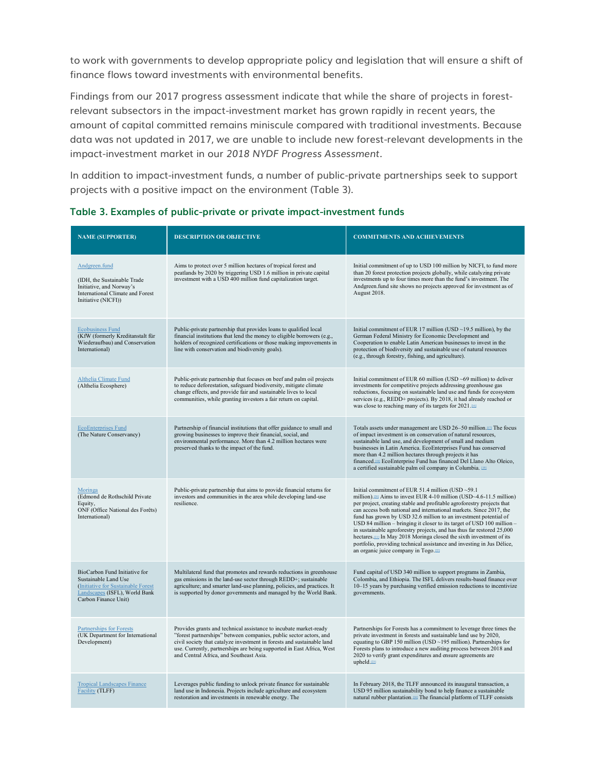to work with governments to develop appropriate policy and legislation that will ensure a shift of finance flows toward investments with environmental benefits.

Findings from our 2017 progress assessment indicate that while the share of projects in forestrelevant subsectors in the impact-investment market has grown rapidly in recent years, the amount of capital committed remains miniscule compared with traditional investments. Because data was not updated in 2017, we are unable to include new forest-relevant developments in the impact-investment market in our *2018 NYDF Progress Assessment.*

In addition to impact-investment funds, a number of public-private partnerships seek to support projects with a positive impact on the environment (Table 3).

| <b>NAME (SUPPORTER)</b>                                                                                                                               | <b>DESCRIPTION OR OBJECTIVE</b>                                                                                                                                                                                                                                                                                                       | <b>COMMITMENTS AND ACHIEVEMENTS</b>                                                                                                                                                                                                                                                                                                                                                                                                                                                                                                                                                                                                                                                                                 |
|-------------------------------------------------------------------------------------------------------------------------------------------------------|---------------------------------------------------------------------------------------------------------------------------------------------------------------------------------------------------------------------------------------------------------------------------------------------------------------------------------------|---------------------------------------------------------------------------------------------------------------------------------------------------------------------------------------------------------------------------------------------------------------------------------------------------------------------------------------------------------------------------------------------------------------------------------------------------------------------------------------------------------------------------------------------------------------------------------------------------------------------------------------------------------------------------------------------------------------------|
| Andgreen.fund<br>(IDH, the Sustainable Trade<br>Initiative, and Norway's<br>International Climate and Forest<br>Initiative (NICFI))                   | Aims to protect over 5 million hectares of tropical forest and<br>peatlands by 2020 by triggering USD 1.6 million in private capital<br>investment with a USD 400 million fund capitalization target.                                                                                                                                 | Initial commitment of up to USD 100 million by NICFI, to fund more<br>than 20 forest protection projects globally, while catalyzing private<br>investments up to four times more than the fund's investment. The<br>Andgreen fund site shows no projects approved for investment as of<br>August 2018.                                                                                                                                                                                                                                                                                                                                                                                                              |
| <b>Ecobusiness Fund</b><br>(KfW (formerly Kreditanstalt für<br>Wiederaufbau) and Conservation<br>International)                                       | Public-private partnership that provides loans to qualified local<br>financial institutions that lend the money to eligible borrowers (e.g.,<br>holders of recognized certifications or those making improvements in<br>line with conservation and biodiversity goals).                                                               | Initial commitment of EUR 17 million (USD $\sim$ 19.5 million), by the<br>German Federal Ministry for Economic Development and<br>Cooperation to enable Latin American businesses to invest in the<br>protection of biodiversity and sustainable use of natural resources<br>(e.g., through forestry, fishing, and agriculture).                                                                                                                                                                                                                                                                                                                                                                                    |
| Althelia Climate Fund<br>(Althelia Ecosphere)                                                                                                         | Public-private partnership that focuses on beef and palm oil projects<br>to reduce deforestation, safeguard biodiversity, mitigate climate<br>change effects, and provide fair and sustainable lives to local<br>communities, while granting investors a fair return on capital.                                                      | Initial commitment of EUR 60 million (USD $~69$ million) to deliver<br>investments for competitive projects addressing greenhouse gas<br>reductions, focusing on sustainable land use and funds for ecosystem<br>services (e.g., REDD+ projects). By 2018, it had already reached or<br>was close to reaching many of its targets for 2021.                                                                                                                                                                                                                                                                                                                                                                         |
| <b>EcoEnterprises Fund</b><br>(The Nature Conservancy)                                                                                                | Partnership of financial institutions that offer guidance to small and<br>growing businesses to improve their financial, social, and<br>environmental performance. More than 4.2 million hectares were<br>preserved thanks to the impact of the fund.                                                                                 | Totals assets under management are USD 26-50 million.[17] The focus<br>of impact investment is on conservation of natural resources,<br>sustainable land use, and development of small and medium<br>businesses in Latin America. EcoEnterprises Fund has conserved<br>more than 4.2 million hectares through projects it has<br>financed. <sup>[18]</sup> EcoEnterprise Fund has financed Del Llano Alto Oleico,<br>a certified sustainable palm oil company in Columbia. 1991                                                                                                                                                                                                                                     |
| Moringa<br>(Edmond de Rothschild Private<br>Equity,<br>ONF (Office National des Forêts)<br>International)                                             | Public-private partnership that aims to provide financial returns for<br>investors and communities in the area while developing land-use<br>resilience.                                                                                                                                                                               | Initial commitment of EUR 51.4 million (USD ~59.1<br>million). <sup>220</sup> Aims to invest EUR 4-10 million (USD~4.6-11.5 million)<br>per project, creating stable and profitable agroforestry projects that<br>can access both national and international markets. Since 2017, the<br>fund has grown by USD 32.6 million to an investment potential of<br>USD 84 million - bringing it closer to its target of USD 100 million -<br>in sustainable agroforestry projects, and has thus far restored 25,000<br>hectares. <sup>211</sup> In May 2018 Moringa closed the sixth investment of its<br>portfolio, providing technical assistance and investing in Jus Délice,<br>an organic juice company in Togo.[22] |
| BioCarbon Fund Initiative for<br>Sustainable Land Use<br>(Initiative for Sustainable Forest)<br>Landscapes (ISFL), World Bank<br>Carbon Finance Unit) | Multilateral fund that promotes and rewards reductions in greenhouse<br>gas emissions in the land-use sector through REDD+; sustainable<br>agriculture; and smarter land-use planning, policies, and practices. It<br>is supported by donor governments and managed by the World Bank.                                                | Fund capital of USD 340 million to support programs in Zambia,<br>Colombia, and Ethiopia. The ISFL delivers results-based finance over<br>10–15 years by purchasing verified emission reductions to incentivize<br>governments.                                                                                                                                                                                                                                                                                                                                                                                                                                                                                     |
| <b>Partnerships for Forests</b><br>(UK Department for International<br>Development)                                                                   | Provides grants and technical assistance to incubate market-ready<br>"forest partnerships" between companies, public sector actors, and<br>civil society that catalyze investment in forests and sustainable land<br>use. Currently, partnerships are being supported in East Africa, West<br>and Central Africa, and Southeast Asia. | Partnerships for Forests has a commitment to leverage three times the<br>private investment in forests and sustainable land use by 2020,<br>equating to GBP 150 million (USD $\sim$ 195 million). Partnerships for<br>Forests plans to introduce a new auditing process between 2018 and<br>2020 to verify grant expenditures and ensure agreements are<br>upheld.[23]                                                                                                                                                                                                                                                                                                                                              |
| <b>Tropical Landscapes Finance</b><br>Facility (TLFF)                                                                                                 | Leverages public funding to unlock private finance for sustainable<br>land use in Indonesia. Projects include agriculture and ecosystem<br>restoration and investments in renewable energy. The                                                                                                                                       | In February 2018, the TLFF announced its inaugural transaction, a<br>USD 95 million sustainability bond to help finance a sustainable<br>natural rubber plantation. <sup>[24]</sup> The financial platform of TLFF consists                                                                                                                                                                                                                                                                                                                                                                                                                                                                                         |

#### **Table 3. Examples of public-private or private impact-investment funds**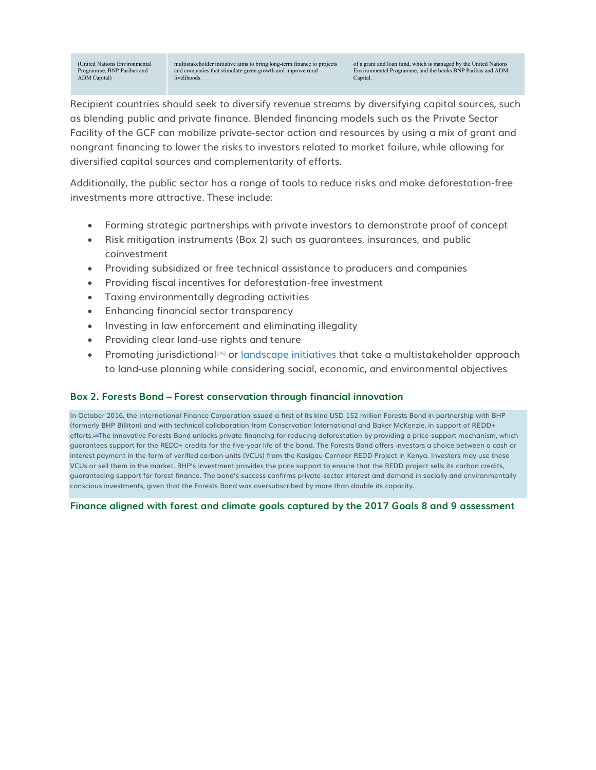(United Nations Environmental Programme, BNP Paribas and ADM Capital)

multistakeholder initiative aims to bring long-term finance to projects and companies that stimulate green growth and improve rural livelihoods.

of a grant and loan fund, which is managed by the United Natio Environmental Programme, and the banks BNP Paribas and ADM Capital.

Recipient countries should seek to diversify revenue streams by diversifying capital sources, such as blending public and private finance. Blended financing models such as the Private Sector Facility of the GCF can mobilize private-sector action and resources by using a mix of grant and nongrant financing to lower the risks to investors related to market failure, while allowing for diversified capital sources and complementarity of efforts.

Additionally, the public sector has a range of tools to reduce risks and make deforestation-free investments more attractive. These include:

- Forming strategic partnerships with private investors to demonstrate proof of concept
- Risk mitigation instruments (Box 2) such as guarantees, insurances, and public coinvestment
- Providing subsidized or free technical assistance to producers and companies
- Providing fiscal incentives for deforestation-free investment
- Taxing environmentally degrading activities
- Enhancing financial sector transparency
- Investing in law enforcement and eliminating illegality
- Providing clear land-use rights and tenure
- Promoting jurisdictional<sup>[\[25\]](http://forestdeclaration.org/goal/goal-8/#_edn25)</sup> or [landscape initiatives](http://forestdeclaration.org/goal/goal-9/) that take a multistakeholder approach to land-use planning while considering social, economic, and environmental objectives

#### **Box 2. Forests Bond – Forest conservation through financial innovation**

In October 2016, the International Finance Corporation issued a first of its kind USD 152 million Forests Bond in partnership with BHP (formerly BHP Billiton) and with technical collaboration from Conservation International and Baker McKenzie, in support of REDD+ efforts.<sup>[\[26\]](http://forestdeclaration.org/goal/goal-8/#_edn26)</sup>The innovative Forests Bond unlocks private financing for reducing deforestation by providing a price-support mechanism, which guarantees support for the REDD+ credits for the five-year life of the bond. The Forests Bond offers investors a choice between a cash or interest payment in the form of verified carbon units (VCUs) from the Kasigau Corridor REDD Project in Kenya. Investors may use these VCUs or sell them in the market. BHP's investment provides the price support to ensure that the REDD project sells its carbon credits, guaranteeing support for forest finance. The bond's success confirms private-sector interest and demand in socially and environmentally conscious investments, given that the Forests Bond was oversubscribed by more than double its capacity.

#### **Finance aligned with forest and climate goals captured by the 2017 Goals 8 and 9 assessment**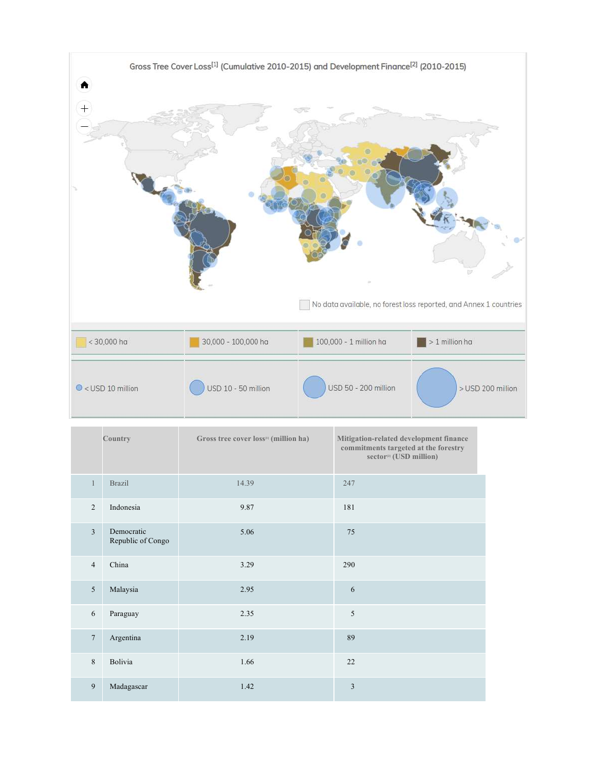

|                 | Country                         | Gross tree cover loss <sup>[1]</sup> (million ha) | Mitigation-related development finance<br>commitments targeted at the forestry<br>sector <sup>[2]</sup> (USD million) |
|-----------------|---------------------------------|---------------------------------------------------|-----------------------------------------------------------------------------------------------------------------------|
| $\mathbf{1}$    | <b>Brazil</b>                   | 14.39                                             | 247                                                                                                                   |
| $\overline{2}$  | Indonesia                       | 9.87                                              | 181                                                                                                                   |
| $\overline{3}$  | Democratic<br>Republic of Congo | 5.06                                              | 75                                                                                                                    |
| $\overline{4}$  | China                           | 3.29                                              | 290                                                                                                                   |
| $5\overline{)}$ | Malaysia                        | 2.95                                              | 6                                                                                                                     |
| 6               | Paraguay                        | 2.35                                              | 5                                                                                                                     |
| $7\phantom{.0}$ | Argentina                       | 2.19                                              | 89                                                                                                                    |
| $\,8\,$         | Bolivia                         | 1.66                                              | 22                                                                                                                    |
| 9               | Madagascar                      | 1.42                                              | 3                                                                                                                     |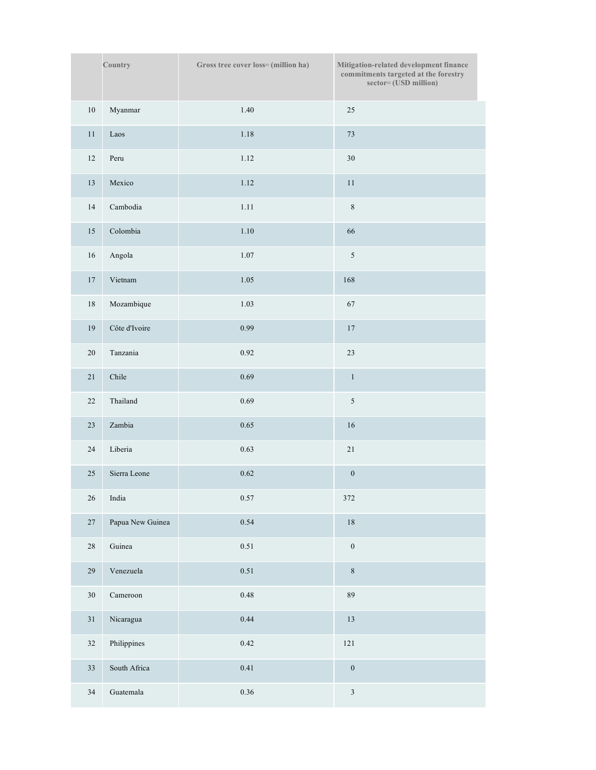|                 | Country                | Gross tree cover loss <sup>11</sup> (million ha) | Mitigation-related development finance<br>commitments targeted at the forestry<br>sector <sup>[2]</sup> (USD million) |
|-----------------|------------------------|--------------------------------------------------|-----------------------------------------------------------------------------------------------------------------------|
| $10\,$          | Myanmar                | 1.40                                             | 25                                                                                                                    |
| $11\,$          | Laos                   | 1.18                                             | 73                                                                                                                    |
| $12\,$          | Peru                   | 1.12                                             | 30                                                                                                                    |
| $13\,$          | Mexico                 | 1.12                                             | $1\,1$                                                                                                                |
| $14\,$          | Cambodia               | 1.11                                             | $\,8\,$                                                                                                               |
| $15\,$          | Colombia               | $1.10\,$                                         | 66                                                                                                                    |
| $16\,$          | Angola                 | $1.07\,$                                         | $\sqrt{5}$                                                                                                            |
| $17\,$          | Vietnam                | 1.05                                             | 168                                                                                                                   |
| $18\,$          | Mozambique             | 1.03                                             | 67                                                                                                                    |
| $19\,$          | Côte d'Ivoire          | 0.99                                             | $17\,$                                                                                                                |
| $20\,$          | Tanzania               | $0.92\,$                                         | 23                                                                                                                    |
| $21\,$          | Chile                  | 0.69                                             | $\mathbf{1}$                                                                                                          |
| 22              | Thailand               | 0.69                                             | $\sqrt{5}$                                                                                                            |
| $23\,$          | Zambia                 | 0.65                                             | 16                                                                                                                    |
| $24\,$          | Liberia                | 0.63                                             | 21                                                                                                                    |
| $25\,$          | Sierra Leone           | 0.62                                             | $\boldsymbol{0}$                                                                                                      |
| $26\,$          | $\operatorname{India}$ | 0.57                                             | $3\,72$                                                                                                               |
| $27\,$          | Papua New Guinea       | 0.54                                             | $18\,$                                                                                                                |
| $28\,$          | Guinea                 | 0.51                                             | $\boldsymbol{0}$                                                                                                      |
| $29\,$          | Venezuela              | 0.51                                             | $\,8\,$                                                                                                               |
| 30 <sup>°</sup> | $C$ ameroon            | 0.48                                             | 89                                                                                                                    |
| $31\,$          | Nicaragua              | 0.44                                             | 13                                                                                                                    |
| $32\,$          | Philippines            | 0.42                                             | 121                                                                                                                   |
| 33              | South Africa           | 0.41                                             | $\boldsymbol{0}$                                                                                                      |
| $34\,$          | Guatemala              | $0.36\,$                                         | $\sqrt{3}$                                                                                                            |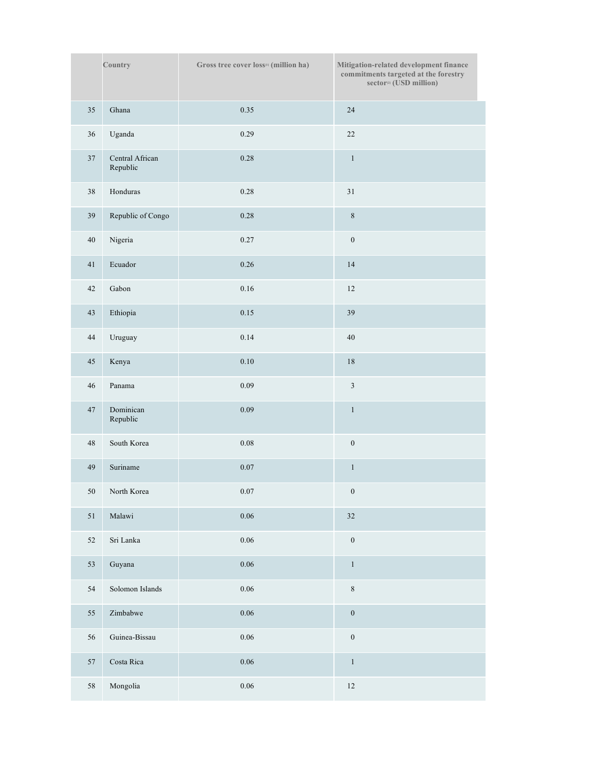|        | Country                     | Gross tree cover loss <sup>11</sup> (million ha) | Mitigation-related development finance<br>commitments targeted at the forestry<br>sector <sup>[2]</sup> (USD million) |
|--------|-----------------------------|--------------------------------------------------|-----------------------------------------------------------------------------------------------------------------------|
| 35     | Ghana                       | 0.35                                             | 24                                                                                                                    |
| 36     | Uganda                      | 0.29                                             | 22                                                                                                                    |
| 37     | Central African<br>Republic | 0.28                                             | $\,1\,$                                                                                                               |
| 38     | Honduras                    | 0.28                                             | 31                                                                                                                    |
| 39     | Republic of Congo           | 0.28                                             | $\,8\,$                                                                                                               |
| $40\,$ | Nigeria                     | 0.27                                             | $\boldsymbol{0}$                                                                                                      |
| 41     | Ecuador                     | 0.26                                             | 14                                                                                                                    |
| 42     | Gabon                       | 0.16                                             | $12\,$                                                                                                                |
| 43     | Ethiopia                    | 0.15                                             | 39                                                                                                                    |
| $44\,$ | Uruguay                     | 0.14                                             | $40\,$                                                                                                                |
| 45     | Kenya                       | 0.10                                             | $18\,$                                                                                                                |
| 46     | Panama                      | 0.09                                             | $\sqrt{3}$                                                                                                            |
| 47     | Dominican<br>Republic       | 0.09                                             | $\,1\,$                                                                                                               |
| 48     | South Korea                 | $0.08\,$                                         | $\boldsymbol{0}$                                                                                                      |
| 49     | Suriname                    | $0.07\,$                                         | $\,1\,$                                                                                                               |
|        | 50 North Korea              | $0.07\,$                                         | $\boldsymbol{0}$                                                                                                      |
| $51\,$ | Malawi                      | 0.06                                             | 32                                                                                                                    |
| 52     | Sri Lanka                   | 0.06                                             | $\boldsymbol{0}$                                                                                                      |
| 53     | Guyana                      | 0.06                                             | $\,1\,$                                                                                                               |
| 54     | Solomon Islands             | 0.06                                             | $\,8\,$                                                                                                               |
| 55     | Zimbabwe                    | 0.06                                             | $\boldsymbol{0}$                                                                                                      |
| 56     | Guinea-Bissau               | $0.06\,$                                         | $\boldsymbol{0}$                                                                                                      |
| 57     | Costa Rica                  | 0.06                                             | $\,1\,$                                                                                                               |
| 58     | Mongolia                    | $0.06\,$                                         | $12\,$                                                                                                                |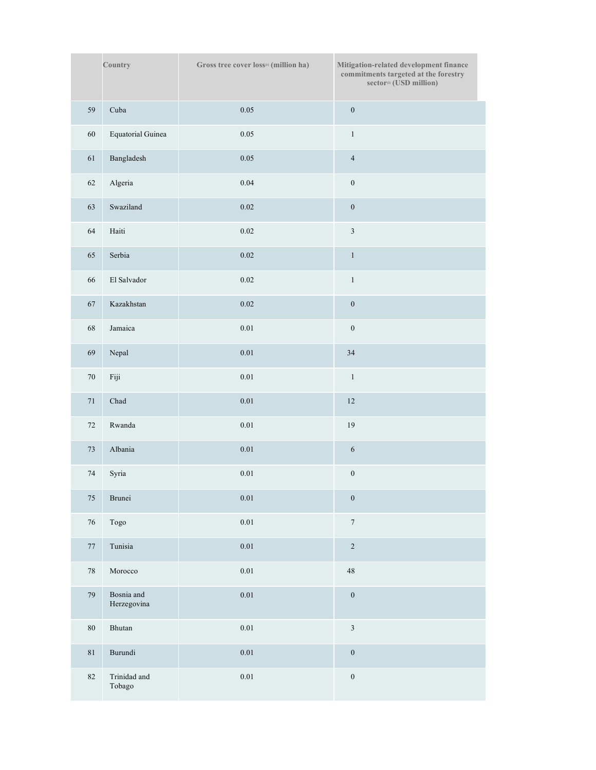|        | Country                     | Gross tree cover loss <sup>11</sup> (million ha) | Mitigation-related development finance<br>commitments targeted at the forestry<br>sector <sup>[2]</sup> (USD million) |
|--------|-----------------------------|--------------------------------------------------|-----------------------------------------------------------------------------------------------------------------------|
| 59     | Cuba                        | 0.05                                             | $\boldsymbol{0}$                                                                                                      |
| 60     | <b>Equatorial Guinea</b>    | 0.05                                             | $\,1$                                                                                                                 |
| 61     | Bangladesh                  | 0.05                                             | $\overline{4}$                                                                                                        |
| $62\,$ | Algeria                     | 0.04                                             | $\boldsymbol{0}$                                                                                                      |
| 63     | Swaziland                   | 0.02                                             | $\boldsymbol{0}$                                                                                                      |
| 64     | Haiti                       | 0.02                                             | $\mathfrak z$                                                                                                         |
| 65     | Serbia                      | 0.02                                             | $\,1\,$                                                                                                               |
| 66     | El Salvador                 | 0.02                                             | $\,1$                                                                                                                 |
| 67     | Kazakhstan                  | 0.02                                             | $\boldsymbol{0}$                                                                                                      |
| $68\,$ | Jamaica                     | $0.01\,$                                         | $\boldsymbol{0}$                                                                                                      |
| 69     | $\rm Nepal$                 | $0.01\,$                                         | 34                                                                                                                    |
| $70\,$ | Fiji                        | $0.01\,$                                         | $\,1$                                                                                                                 |
| $71\,$ | Chad                        | $0.01\,$                                         | $12\,$                                                                                                                |
| 72     | Rwanda                      | 0.01                                             | 19                                                                                                                    |
| $73\,$ | Albania                     | 0.01                                             | $\sqrt{6}$                                                                                                            |
| 74     | Syria                       | $0.01\,$                                         | $\boldsymbol{0}$                                                                                                      |
| $75\,$ | Brunei                      | $0.01\,$                                         | $\boldsymbol{0}$                                                                                                      |
| $76\,$ | Togo                        | 0.01                                             | $\boldsymbol{7}$                                                                                                      |
| $77\,$ | Tunisia                     | $0.01\,$                                         | $\sqrt{2}$                                                                                                            |
| $78\,$ | $\mathop{\mathsf{Morocco}}$ | $0.01\,$                                         | $\sqrt{48}$                                                                                                           |
| 79     | Bosnia and<br>Herzegovina   | 0.01                                             | $\boldsymbol{0}$                                                                                                      |
| $80\,$ | Bhutan                      | 0.01                                             | $\mathfrak{Z}$                                                                                                        |
| $81\,$ | Burundi                     | $0.01\,$                                         | $\boldsymbol{0}$                                                                                                      |
| 82     | Trinidad and<br>Tobago      | 0.01                                             | $\boldsymbol{0}$                                                                                                      |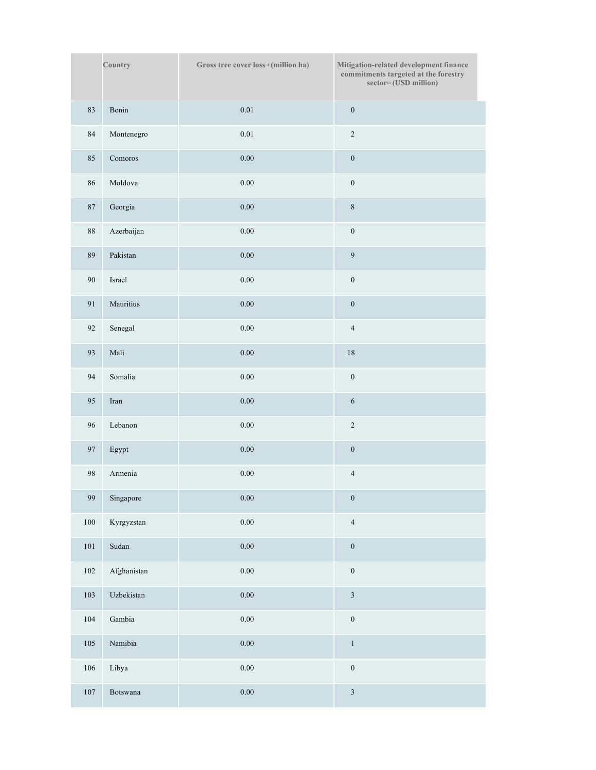|           | Country     | Gross tree cover loss <sup>11</sup> (million ha) | Mitigation-related development finance<br>commitments targeted at the forestry<br>sector <sup>[2]</sup> (USD million) |
|-----------|-------------|--------------------------------------------------|-----------------------------------------------------------------------------------------------------------------------|
| 83        | Benin       | $0.01\,$                                         | $\boldsymbol{0}$                                                                                                      |
| 84        | Montenegro  | 0.01                                             | $\sqrt{2}$                                                                                                            |
| 85        | Comoros     | $0.00\,$                                         | $\boldsymbol{0}$                                                                                                      |
| 86        | Moldova     | $0.00\,$                                         | $\boldsymbol{0}$                                                                                                      |
| $87\,$    | Georgia     | $0.00\,$                                         | $\,8\,$                                                                                                               |
| $\bf 88$  | Azerbaijan  | $0.00\,$                                         | $\boldsymbol{0}$                                                                                                      |
| $\rm 89$  | Pakistan    | $0.00\,$                                         | $\overline{9}$                                                                                                        |
| 90        | Israel      | $0.00\,$                                         | $\boldsymbol{0}$                                                                                                      |
| 91        | Mauritius   | $0.00\,$                                         | $\boldsymbol{0}$                                                                                                      |
| 92        | Senegal     | $0.00\,$                                         | $\overline{4}$                                                                                                        |
| 93        | Mali        | $0.00\,$                                         | $18\,$                                                                                                                |
| 94        | Somalia     | $0.00\,$                                         | $\boldsymbol{0}$                                                                                                      |
| 95        | Iran        | $0.00\,$                                         | $\sqrt{6}$                                                                                                            |
| 96        | Lebanon     | $0.00\,$                                         | $\sqrt{2}$                                                                                                            |
| 97        | Egypt       | $0.00\,$                                         | $\boldsymbol{0}$                                                                                                      |
| $\bf{98}$ | Armenia     | $0.00\,$                                         | $\sqrt{4}$                                                                                                            |
| 99        | Singapore   | $0.00\,$                                         | $\boldsymbol{0}$                                                                                                      |
| $100\,$   | Kyrgyzstan  | $0.00\,$                                         | $\overline{4}$                                                                                                        |
| $101\,$   | Sudan       | $0.00\,$                                         | $\boldsymbol{0}$                                                                                                      |
| $102\,$   | Afghanistan | $0.00\,$                                         | $\boldsymbol{0}$                                                                                                      |
| 103       | Uzbekistan  | 0.00                                             | $\mathfrak{Z}$                                                                                                        |
| $104\,$   | Gambia      | 0.00                                             | $\boldsymbol{0}$                                                                                                      |
| $105\,$   | Namibia     | $0.00\,$                                         | $\,1\,$                                                                                                               |
| 106       | Libya       | $0.00\,$                                         | $\boldsymbol{0}$                                                                                                      |
| $107\,$   | Botswana    | $0.00\,$                                         | $\sqrt{3}$                                                                                                            |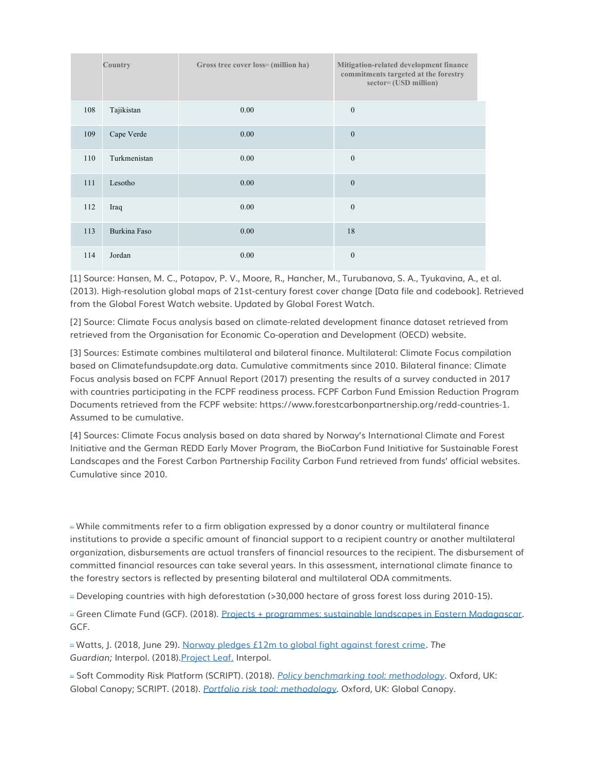|     | Country      | Gross tree cover loss <sup>11</sup> (million ha) | Mitigation-related development finance<br>commitments targeted at the forestry<br>sector <sup>[2]</sup> (USD million) |
|-----|--------------|--------------------------------------------------|-----------------------------------------------------------------------------------------------------------------------|
| 108 | Tajikistan   | 0.00                                             | $\mathbf{0}$                                                                                                          |
| 109 | Cape Verde   | 0.00                                             | $\mathbf{0}$                                                                                                          |
| 110 | Turkmenistan | 0.00                                             | $\mathbf{0}$                                                                                                          |
| 111 | Lesotho      | 0.00                                             | $\mathbf{0}$                                                                                                          |
| 112 | Iraq         | 0.00                                             | $\mathbf{0}$                                                                                                          |
| 113 | Burkina Faso | 0.00                                             | 18                                                                                                                    |
| 114 | Jordan       | 0.00                                             | $\mathbf{0}$                                                                                                          |

[1] Source: Hansen, M. C., Potapov, P. V., Moore, R., Hancher, M., Turubanova, S. A., Tyukavina, A., et al. (2013). High-resolution global maps of 21st-century forest cover change [Data file and codebook]. Retrieved from the Global Forest Watch website. Updated by Global Forest Watch.

[2] Source: Climate Focus analysis based on climate-related development finance dataset retrieved from retrieved from the Organisation for Economic Co-operation and Development (OECD) website.

[3] Sources: Estimate combines multilateral and bilateral finance. Multilateral: Climate Focus compilation based on Climatefundsupdate.org data. Cumulative commitments since 2010. Bilateral finance: Climate Focus analysis based on FCPF Annual Report (2017) presenting the results of a survey conducted in 2017 with countries participating in the FCPF readiness process. FCPF Carbon Fund Emission Reduction Program Documents retrieved from the FCPF website: https://www.forestcarbonpartnership.org/redd-countries-1. Assumed to be cumulative.

[4] Sources: Climate Focus analysis based on data shared by Norway's International Climate and Forest Initiative and the German REDD Early Mover Program, the BioCarbon Fund Initiative for Sustainable Forest Landscapes and the Forest Carbon Partnership Facility Carbon Fund retrieved from funds' official websites. Cumulative since 2010.

<sup>■</sup> While commitments refer to a firm obligation expressed by a donor country or multilateral finance institutions to provide a specific amount of financial support to a recipient country or another multilateral organization, disbursements are actual transfers of financial resources to the recipient. The disbursement of committed financial resources can take several years. In this assessment, international climate finance to the forestry sectors is reflected by presenting bilateral and multilateral ODA commitments.

[\[2\]](http://forestdeclaration.org/goal/goal-8/#_ednref2) Developing countries with high deforestation (>30,000 hectare of gross forest loss during 2010-15).

[\[3\]](http://forestdeclaration.org/goal/goal-8/#_ednref3) Green Climate Fund (GCF). (2018). [Projects + programmes: sustainable landscapes in Eastern Madagascar.](https://www.greenclimate.fund/-/sustainable-landscapes-in-eastern-madagascar) GCF.

[\[4\]](http://forestdeclaration.org/goal/goal-8/#_ednref4) Watts, J. (2018, June 29). [Norway pledges £12m to global fight against forest crime.](https://www.theguardian.com/environment/2018/jun/29/norway-pledges-12m-to-global-fight-against-forest?CMP=share_btn_tw) *The*  Guardian; Interpol. (2018). Project Leaf. Interpol.

[\[5\]](http://forestdeclaration.org/goal/goal-8/#_ednref5) Soft Commodity Risk Platform (SCRIPT). (2018). *[Policy benchmarking tool: methodology](https://www.script.finance/resources/policy-benchmarking-tool-assessment-methodology/)*. Oxford, UK: Global Canopy; SCRIPT. (2018). *[Portfolio risk tool: methodology](https://www.script.finance/resources/portfolio-risk-tool-assessment-methodology/)*. Oxford, UK: Global Canopy.